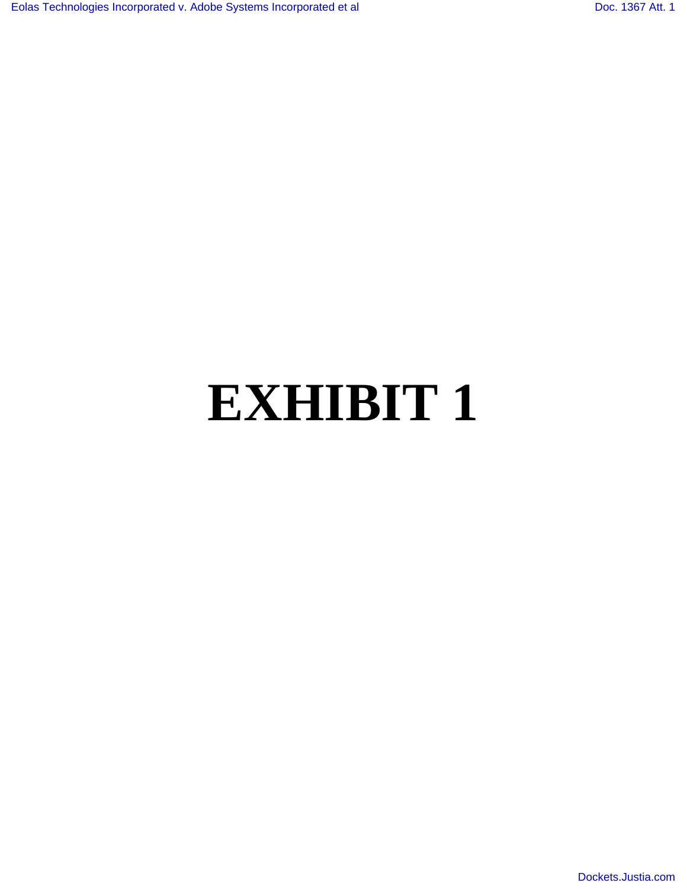## **EXHIBIT 1**

[Dockets.Justia.com](http://dockets.justia.com/)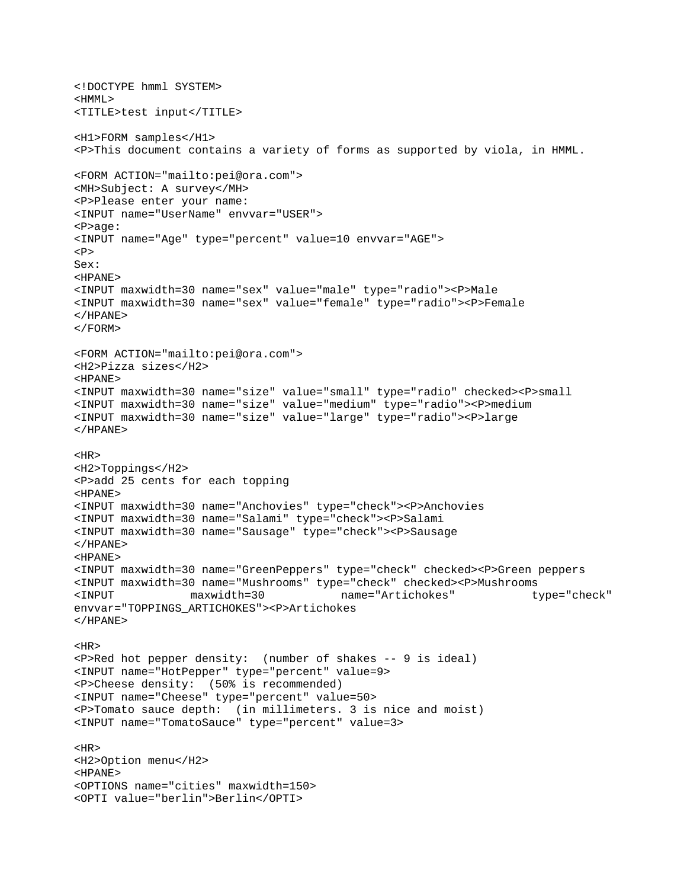```
<!DOCTYPE hmml SYSTEM> 
\leqHMMT.\leq<TITLE>test input</TITLE> 
<H1>FORM samples</H1> 
<P>This document contains a variety of forms as supported by viola, in HMML. 
<FORM ACTION="mailto:pei@ora.com"> 
<MH>Subject: A survey</MH> 
<P>Please enter your name: 
<INPUT name="UserName" envvar="USER"> 
<P>age: 
<INPUT name="Age" type="percent" value=10 envvar="AGE"> 
<br> <math display="inline">p</math>Sex: 
<HPANE> 
<INPUT maxwidth=30 name="sex" value="male" type="radio"><P>Male 
<INPUT maxwidth=30 name="sex" value="female" type="radio"><P>Female 
</HPANE> 
</FORM><FORM ACTION="mailto:pei@ora.com"> 
<H2>Pizza sizes</H2> 
<HPANE> 
<INPUT maxwidth=30 name="size" value="small" type="radio" checked><P>small 
<INPUT maxwidth=30 name="size" value="medium" type="radio"><P>medium 
<INPUT maxwidth=30 name="size" value="large" type="radio"><P>large 
</HPANE> 
<HR><H2>Toppings</H2> 
<P>add 25 cents for each topping 
<HPANE> 
<INPUT maxwidth=30 name="Anchovies" type="check"><P>Anchovies 
<INPUT maxwidth=30 name="Salami" type="check"><P>Salami 
<INPUT maxwidth=30 name="Sausage" type="check"><P>Sausage 
</HPANE>
<HPANE> 
<INPUT maxwidth=30 name="GreenPeppers" type="check" checked><P>Green peppers 
<INPUT maxwidth=30 name="Mushrooms" type="check" checked><P>Mushrooms 
<INPUT maxwidth=30 name="Artichokes" type="check" 
envvar="TOPPINGS_ARTICHOKES"><P>Artichokes 
</HPANE> 
<HR><P>Red hot pepper density: (number of shakes -- 9 is ideal) 
<INPUT name="HotPepper" type="percent" value=9> 
<P>Cheese density: (50% is recommended) 
<INPUT name="Cheese" type="percent" value=50> 
<P>Tomato sauce depth: (in millimeters. 3 is nice and moist) 
<INPUT name="TomatoSauce" type="percent" value=3> 
<HR><H2>Option menu</H2> 
<HPANE> 
<OPTIONS name="cities" maxwidth=150> 
<OPTI value="berlin">Berlin</OPTI>
```